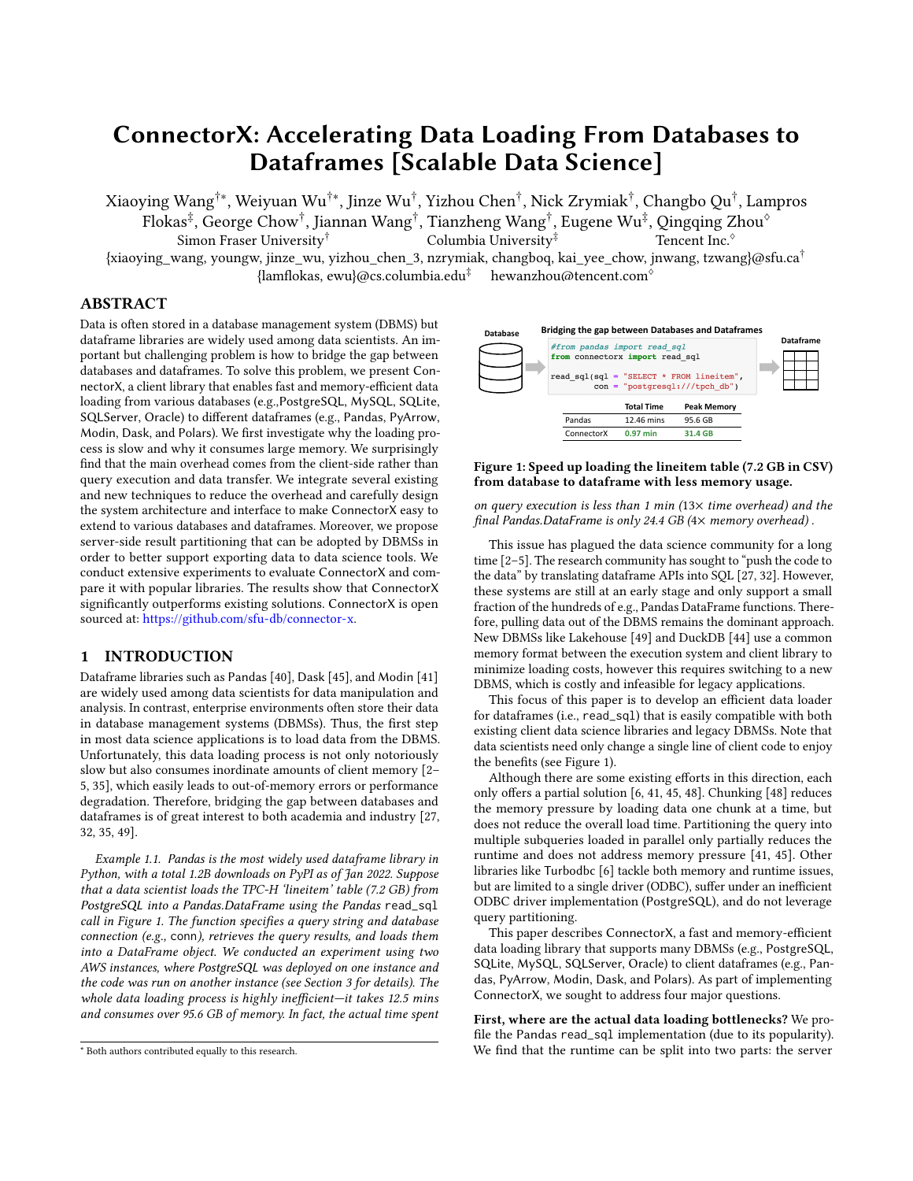# ConnectorX: Accelerating Data Loading From Databases to Dataframes [Scalable Data Science]

Xiaoying Wang†∗, Weiyuan Wu†∗, Jinze Wu† , Yizhou Chen† , Nick Zrymiak† , Changbo Qu† , Lampros

Flokas $^\ddag$ , George Chow $^\dagger$ , Jiannan Wang $^\dagger$ , Tianzheng Wang $^\dagger$ , Eugene Wu $^\ddag$ , Qingqing Zhou $^\diamond$ Simon Fraser University<sup>†</sup>  $\hbox{Column First}$  Columbia University<sup>‡</sup> Tencent Inc. $\hbox{Ob}$ 

{xiaoying\_wang, youngw, jinze\_wu, yizhou\_chen\_3, nzrymiak, changboq, kai\_yee\_chow, jnwang, tzwang}@sfu.ca†  ${\rm \{lambda}$ s, ewu}@cs.columbia.edu<sup>‡</sup> hewanzhou@tencent.com<sup>\o</sup>

# ABSTRACT

Data is often stored in a database management system (DBMS) but dataframe libraries are widely used among data scientists. An important but challenging problem is how to bridge the gap between databases and dataframes. To solve this problem, we present ConnectorX, a client library that enables fast and memory-efficient data loading from various databases (e.g.,PostgreSQL, MySQL, SQLite, SQLServer, Oracle) to different dataframes (e.g., Pandas, PyArrow, Modin, Dask, and Polars). We first investigate why the loading process is slow and why it consumes large memory. We surprisingly find that the main overhead comes from the client-side rather than query execution and data transfer. We integrate several existing and new techniques to reduce the overhead and carefully design the system architecture and interface to make ConnectorX easy to extend to various databases and dataframes. Moreover, we propose server-side result partitioning that can be adopted by DBMSs in order to better support exporting data to data science tools. We conduct extensive experiments to evaluate ConnectorX and compare it with popular libraries. The results show that ConnectorX significantly outperforms existing solutions. ConnectorX is open sourced at: [https://github.com/sfu-db/connector-x.](https://github.com/sfu-db/connector-x)

#### 1 INTRODUCTION

Dataframe libraries such as Pandas [\[40\]](#page-8-0), Dask [\[45\]](#page-8-1), and Modin [\[41\]](#page-8-2) are widely used among data scientists for data manipulation and analysis. In contrast, enterprise environments often store their data in database management systems (DBMSs). Thus, the first step in most data science applications is to load data from the DBMS. Unfortunately, this data loading process is not only notoriously slow but also consumes inordinate amounts of client memory [\[2–](#page-8-3) [5,](#page-8-4) [35\]](#page-8-5), which easily leads to out-of-memory errors or performance degradation. Therefore, bridging the gap between databases and dataframes is of great interest to both academia and industry [\[27,](#page-8-6) [32,](#page-8-7) [35,](#page-8-5) [49\]](#page-9-0).

Example 1.1. Pandas is the most widely used dataframe library in Python, with a total 1.2B downloads on PyPI as of Jan 2022. Suppose that a data scientist loads the TPC-H 'lineitem' table (7.2 GB) from PostgreSQL into a Pandas.DataFrame using the Pandas read\_sql call in Figure [1.](#page-0-0) The function specifies a query string and database connection (e.g., conn), retrieves the query results, and loads them into a DataFrame object. We conducted an experiment using two AWS instances, where PostgreSQL was deployed on one instance and the code was run on another instance (see Section [3](#page-1-0) for details). The whole data loading process is highly inefficient-it takes 12.5 mins and consumes over 95.6 GB of memory. In fact, the actual time spent

<span id="page-0-0"></span>

Figure 1: Speed up loading the lineitem table (7.2 GB in CSV) from database to dataframe with less memory usage.

on query execution is less than 1 min  $(13\times$  time overhead) and the final Pandas.DataFrame is only 24.4 GB (4× memory overhead).

This issue has plagued the data science community for a long time [\[2–](#page-8-3)[5\]](#page-8-4). The research community has sought to "push the code to the data" by translating dataframe APIs into SQL [\[27,](#page-8-6) [32\]](#page-8-7). However, these systems are still at an early stage and only support a small fraction of the hundreds of e.g., Pandas DataFrame functions. Therefore, pulling data out of the DBMS remains the dominant approach. New DBMSs like Lakehouse [\[49\]](#page-9-0) and DuckDB [\[44\]](#page-8-8) use a common memory format between the execution system and client library to minimize loading costs, however this requires switching to a new DBMS, which is costly and infeasible for legacy applications.

This focus of this paper is to develop an efficient data loader for dataframes (i.e., read\_sql) that is easily compatible with both existing client data science libraries and legacy DBMSs. Note that data scientists need only change a single line of client code to enjoy the benefits (see Figure [1\)](#page-0-0).

Although there are some existing efforts in this direction, each only offers a partial solution [\[6,](#page-8-9) [41,](#page-8-2) [45,](#page-8-1) [48\]](#page-8-10). Chunking [\[48\]](#page-8-10) reduces the memory pressure by loading data one chunk at a time, but does not reduce the overall load time. Partitioning the query into multiple subqueries loaded in parallel only partially reduces the runtime and does not address memory pressure [\[41,](#page-8-2) [45\]](#page-8-1). Other libraries like Turbodbc [\[6\]](#page-8-9) tackle both memory and runtime issues, but are limited to a single driver (ODBC), suffer under an inefficient ODBC driver implementation (PostgreSQL), and do not leverage query partitioning.

This paper describes ConnectorX, a fast and memory-efficient data loading library that supports many DBMSs (e.g., PostgreSQL, SQLite, MySQL, SQLServer, Oracle) to client dataframes (e.g., Pandas, PyArrow, Modin, Dask, and Polars). As part of implementing ConnectorX, we sought to address four major questions.

First, where are the actual data loading bottlenecks? We profile the Pandas read\_sql implementation (due to its popularity). We find that the runtime can be split into two parts: the server

<sup>\*</sup> Both authors contributed equally to this research.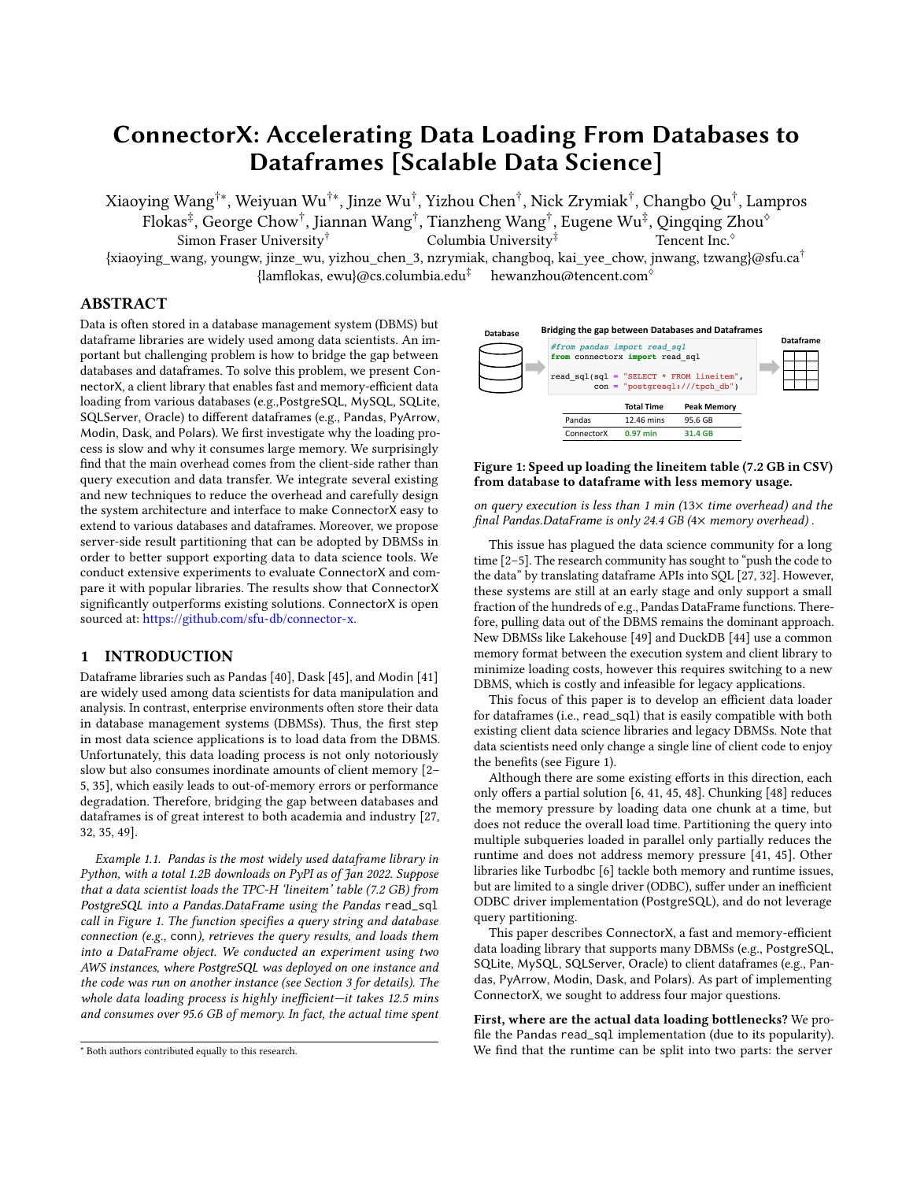side runtime includes query execution, serialization, and network transfer, and the client side includes deserialization and conversion into a dataframe. We were surprised to find that >85% of time is spent in the client, and that the conversion materializes all intermediate transformation results in memory. These findings suggest that client-side optimizations are sufficient to dramatically reduce data loading costs.

Second, how do we both reduce the runtime and memory, while also making the system extensible to new DBMSs? To do so, we design a succinct domain-specific language (DSL) for mapping DBMS result representations into dataframes—this reduces the lines of code by 1-2 orders of magnitude as compared to not using our DSL. Under the covers, ConnectorX compiles the DSL to execute over a streaming workflow system that efficiently translates bytes recieved from the network into objects in memory. The workflow executes in a pipelined fashion, and combines parallel execution, string allocation optimizations, and an efficient data representation.

Third, are current query partitioning techniques as good as they can get? Parallelization via query partitioning is the dominant way to reduce query execution (and potentially parallel loading) runtimes. Existing techniques partition the query on the client [\[41,](#page-8-2) [45\]](#page-8-1)—for instance "SELECT \* FROM lineitem" may be split into SELECT \* FROM lineitem WHERE l\_orderkey < 1,500,000 and SELECT  $*$  FROM lineitem WHERE l\_orderkey  $\geq 1,500,000$ . The approach is popular since it is purely client-side, and ConnectorX adopts it as well. Unfortunately, we find that it introduces extra user burden (i.e., figuring out how to specify a proper range partitioning scheme), load imbalances, wasted server resources, and data inconsistencies. Thus, we study server-side result partitioning, where the DBMS directly partitions the query result and transfers them to the Pandas client in parallel. We prototype and demonstrate the benefits using PostgreSQL, and advocate DBMS vendors to add this support in the future.

Fourth, does a new data loading library matter? Since its first release in April 2021, ConnectorX has been widely adopted by real users, with a total of 100K+ downloads and 540+ Github stars within ten months. It has been applied to extracting data in ETL [\[7\]](#page-8-11) and loading ML data from DBMS [\[8\]](#page-8-12). It has also be integrated into popular open source projects such as Polars [\[14\]](#page-8-13) and DataPrep [\[11\]](#page-8-14). For example, Polars is the most popular dataframe library in Rust, and it uses ConnectorX as the default way to read data from various databases [\[9\]](#page-8-15). Further, our experiments show that ConnectorX significantly outperforms existing libraries (Pandas, Dask, Modin, Turbodbc) when loading large query results. Compared to Pandas, it reduces runtime by 13× and memory utilization by 3×.

In summary, our paper makes the following contributions:

- (1) We perform an in-depth empirical analysis of the read\_sql function in Pandas. We surprisingly find that the main overhead for read\_sql comes from the client-side instead of query execution and data transfer.
- (2) We design and implement ConnectorX that greatly reduces the overhead of read\_sql with no requirement to modify existing database servers and client protocols.
- (3) We propose a carefully designed architecture and interface to make ConnectorX easy to extend, and design a DSL to simplify the type mapping from databases to dataframes.
- (4) We identify the issues of client-side query partitioning, and propose server-side result partitioning and implement prototype systems to address these issues.
- (5) We conduct extensive experiments to evaluate ConnectorX and compare it with popular libraries. The results show that ConnectorX significantly outperforms existing solutions.

The remainder of this paper is organized as follows. We review related work in Section [2.](#page-1-1) We perform an in-depth empirical analysis of read\_sql in Section [3,](#page-1-0) and propose ConnectorX in Section [4.](#page-3-0) Section [5](#page-4-0) dives into the topic of query partitioning. We present evaluation results in Section [6,](#page-5-0) and conclude our paper in Section [7.](#page-7-0)

#### <span id="page-1-1"></span>2 RELATED WORK

Bridging the gap between DBMS and ML has become a hot topic in the database community. ConnectorX fits into the big picture by supporting efficient data loading from DBMSs to dataframes.

Data Management for ML. ML tasks may need to access and manage raw input or intermediate data in auxiliary format. Data lake solutions [\[13,](#page-8-16) [22,](#page-8-17) [47\]](#page-8-18) are usually adopted in this situation. Lakehouse [\[49\]](#page-9-0) proposes a new architecture that combines the key benefits of data lakes and data warehouses. Recently, there is also an emerging trend of building ML-specific data versioning and feature store systems [\[10,](#page-8-19) [15,](#page-8-20) [28,](#page-8-21) [30,](#page-8-22) [38\]](#page-8-23), which are developed to standardize and manage model features and workflows.

On the other hand, accessing these data from external tools is notoriously slow [\[32,](#page-8-7) [35,](#page-8-5) [49\]](#page-9-0). Previous work [\[43\]](#page-8-24) shows that existing wire protocols suffer from redundant information and expensive (de)serialization, and thus propose a new protocol to tackle these issues. The same authors further develop an embedded analytical system DuckDB [\[44\]](#page-8-8) that can avoid the bottlenecks of result set serialization and value-based APIs by making DBMS and analytic tools in the same address space. Li et. al [\[35\]](#page-8-5) adopts Flight [\[25\]](#page-8-25) to enable zero-copy on data export in Arrow IPC format. However, these solutions require users to modify the source code of a database system or switch to a new database system like DuckDB. Unlike these approaches, ConnectorX directly leverages existing DBMSs and client drivers, and achieves the maximum speed up within the current implementations.

SQL-Python Integration. ML tools usually adopt dataframes [\[24,](#page-8-26) [40–](#page-8-0)[42,](#page-8-27) [45\]](#page-8-1) as the abstraction for data manipulation. Data scientists are in general more familiar with dataframe operations, so they usually choose to transfer the complete data from databases to the client machine and process it using Python. To avoid moving data out of DBMS, some systems [\[21,](#page-8-28) [31,](#page-8-29) [34,](#page-8-30) [36,](#page-8-31) [46\]](#page-8-32) try to run ML code inside database engines. Ibis [\[1\]](#page-8-33) aims to convert dataframe operations to SQL queries and run them on a connected database. Declarative dataframe APIs [\[19,](#page-8-34) [37\]](#page-8-35) are proposed to combine relational and procedural processing, which also allows cross-optimization between ML and database operators and has been studied by recent works [\[23,](#page-8-36) [27,](#page-8-6) [33\]](#page-8-37). ConnectorX complements these solutions and allows data scientist to efficiently move data out of DBMS to conduct sophistical analysis and build ML models using the Python data science ecosystem.

## <span id="page-1-0"></span>3 AN ANATOMY OF PANDAS.READ\_SQL

In this section, we take an in-depth look at Pandas.read\_sql [\[40\]](#page-8-0). There are other libraries that also provide the read\_sql functionality and we will discuss and compare with them in Section [6.](#page-5-0) We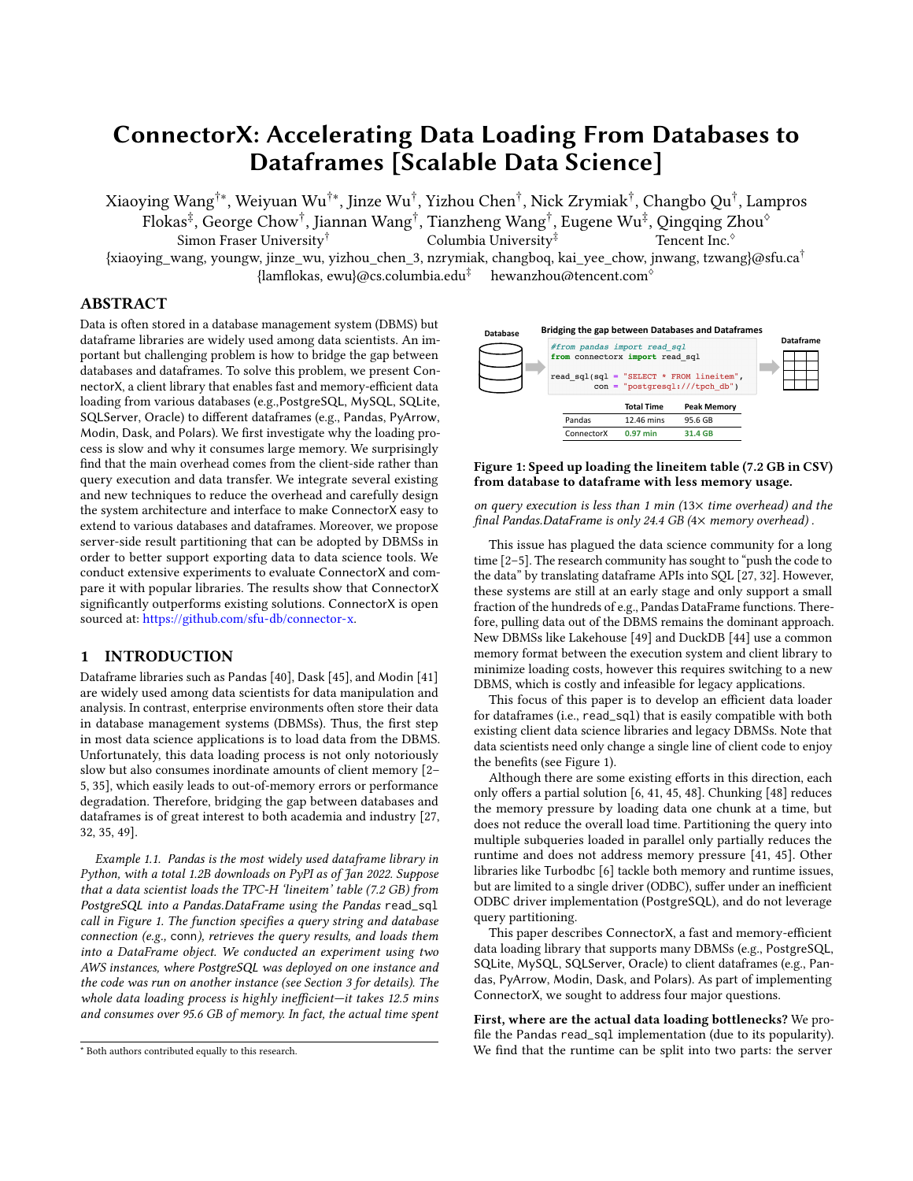<span id="page-2-0"></span>

Figure 2: Time break down of **Pandas.read\_sql**. (Orange parts happen on the client side.)

study two questions: i) where does the time go? ii) where does the memory go? To answer them, we design and conduct an experiment between two AWS EC2 instances (r5.4xlarge, network bandwidth: 10 Gbit/s) using TPC-H benchmark (SF=10). A DBMS (PostgreSQL or MySQL) is deployed on one instance and Pandas.read\_sql is executed on another instance to load the lineitem table (7.2 GB in CSV) from the DBMS. In the following, we will discuss our findings from breaking down the time and memory usage of this experiment.

#### 3.1 Where Does the Time Go?

Under the hood, read\_sql relies on driver libraries following the Python DB-API [\[26\]](#page-8-38) to access databases. From the client's perspective, the overall process has three major steps:

- (1) Execution + Transfer: Server executes the query and sends the result back to the client through network in bytes following a specific wire protocol.
- (2) Deserialization: Client parses the received bytes and returns the query result in the form of Python objects.
- (3) Conversion to dataframe: Client converts the Python objects into NumPy [\[29\]](#page-8-39) arrays and constructs the final dataframe.

Figure [2](#page-2-0) shows the time break down on PostgreSQL and MySQL, respectively. Note that orange parts all happen on the client side.

A surprising finding is that the majority of the time is actually spent on the client side rather than on the query execution or the data transfer. It means that accelerating query execution or compressing the data for wire transfer [\[43\]](#page-8-24) is less effective in speeding up read\_sql in this case. For example, on PostgreSQL, the query execution and data transfer only took less than 2 minutes, but the client side took more than 10 minutes (i.e., over 85% of the total running time). This result suggests that we should focus on optimizing the client side, which is dominated by two data conversions: deserialization and conversion to dataframe with each accounting for approximately 40% of the running time.

Another surprising finding is that read\_sql executes each step sequentially for PostgreSQL and MySQL by default [\[20\]](#page-8-40)<sup>[1](#page-2-1)</sup>. That is, when the server side sends part of bytes to the client side, the client side does not process them right away but waits until all returned bytes are ready in a local buffer; when the client side derives part of Python objects, it does not convert them to a dataframe right away but waits until all Python objects are available. This will lead to two issues. First, all intermediate results will be temporarily kept in memory, which wastes too much memory as we will show in Section [3.2.](#page-2-2) Second, single thread execution cannot make full use of network and computational resources.

#### <span id="page-2-2"></span>3.2 Where Does the Memory Go?

Next, we inspect the memory footprint of running read\_sql and show the results in Table [1.](#page-2-3) Raw Bytes, Python Objects, and Dataframe

Table 1: Memory analysis of **Pandas.read\_sql**.

<span id="page-2-3"></span>

|            |        | Raw Bytes Python Objects Dataframe   Peak |                     |        |  |  |
|------------|--------|-------------------------------------------|---------------------|--------|--|--|
| PostgreSQL | 12.4GB | 52.6GB                                    | 24.4GB              | 95.6GB |  |  |
| MySQL      | 8.18GB | 51.5GB                                    | $23.3\mathrm{GB}^2$ | 99.1GB |  |  |

<span id="page-2-5"></span>

Figure 3: Time and memory change by varying chunk size.

represent the size of the bytes the client received, the intermediate Python objects, and the final dataframe, respectively.

We observe that the peak memory is approximately  $4\times$  larger than the size of the final dataframe. This high memory requirement is mainly caused by two reasons. First, the intermediate result is stored in Python objects. In Python, every object contains a header structure that maintains information like reference count and object's type in addition to the data itself. This will add some overhead on the size of the data. This overhead varies by different types. Take integer as an example: the actual data for an integer value only takes 8 bytes, but the header for this value has 20 bytes. Second, all the intermediate results are kept in memory until the final dataframe is generated. Specifically, read\_sql keeps three copies of the entire data in memory, which are stored in three different formats: Raw Bytes, Python Objects, and Dataframe. This unnecessary duplication of the same data is another cause of the high memory consumption.

How Much Can Chunking Help?. Chunking [\[39,](#page-8-41) [48\]](#page-8-10) loads data chunk by chunk. For example, by specifying a chunk size of 1000, read\_sql will fetch and process a chuck of 1000 rows of the query result at a time. We vary the chunk size and measure the running time and the peak memory of loading the lineitem table. Figure [3](#page-2-5) shows the results. For fair comparison, we concatenate all the intermediate dataframes in the end to represent the entire query result. "No Chunk" represents that chunking is not used.

We see that chunking is indeed very effective in reducing memory usage because it does not hold all the intermediate results in memory. The peak memory usage can become almost equal to the final dataframe size when we set the chunk size within a certain range (e.g. 1K to 1M). However, chunking has little help in improving the running time of read\_sql. In fact, it will introduce significant overhead when the chunk size is too small (e.g. 100). Moreover, the user needs to write extra code in order to enable chunking and handle a stream of dataframes.

## 3.3 Opportunities

Through an in-depth analysis of read\_sql, we identify four opportunities to improve the performance: 1) Study how to optimize the client side of read\_sql because it is the main bottleneck; 2) Explore how to change the execution model of read\_sql from sequential to parallel; 3) Investigate how to reduce data representation overhead; 4) Think about how to minimize the number of data copies.

<span id="page-2-1"></span><sup>&</sup>lt;sup>1</sup>For some other databases like Oracle, while the first two steps are conducted in parallel, the third step cannot start until the first two steps have finished.

<span id="page-2-4"></span> $2$ CHAR values are stripped in MySQL but not in PostgreSQL, which results in dataframes with different sizes.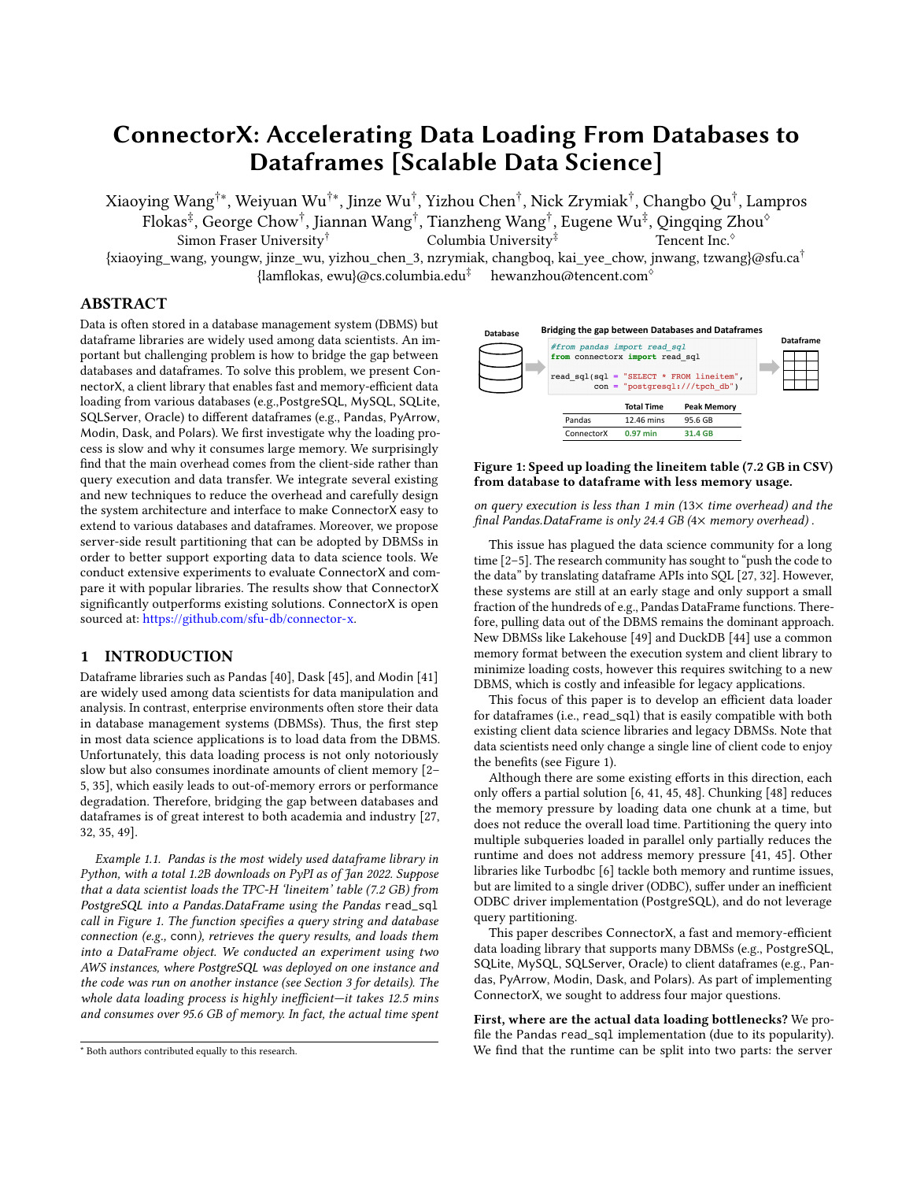<span id="page-3-3"></span>

Figure 4: Workflow of ConnectorX.

## <span id="page-3-0"></span>4 CONNECTORX

In Section [4.1,](#page-3-1) we present system workflow and discuss how we leverage the above opportunities to improve the performance of read\_sql from PostgreSQL to Pandas.DataFrame. ConnectorX can be easily extended to support a large number of databases and dataframes. We discuss how the system is architected and designed to achieve this goal in Section [4.2.](#page-3-2)

#### <span id="page-3-1"></span>4.1 How to Speed Up?

Overall Workflow. Like chunking, ConnectorX adopts a streaming workflow, where the client loads and processes a small batch of data at a time. In order to avoid the extra data copy and concatenation at the end, ConnectorX adds a Preparation Phase to its workflow. The goal of this phase is to pre-allocate the result dataframe so that the parsed values can be directly written to the corresponding final slots during execution.

Figure [4](#page-3-3) illustrates the overall workflow, which consists of two two phases: Preparation Phase (1-3) and Execution Phase (4-6).

In the Preparation Phase, ConnectorX  $\textcircled{1}$  queries the metadata of the query result, including the number of rows and the data type for each column. With this information, it  $(2)$  constructs the final Pandas.DataFrame by allocating the NumPy arrays accordingly. In order to leverage multiple cores on the client machine, ConnectorX supports  $\circled{3}$  partitioning the query for parallel execution.

The Execution Phase is conducted iteratively in a streaming fashion. ConnectorX assigns each partitioned query to a dedicated worker thread, which streams the partial query result from the DBMS into dataframe independently in parallel. Specifically, in each iteration of a worker thread, it  $@$  fetches a small batch of the query result from the DBMS,  $\circledS$  converts each cell into the proper data format, and  $\circledS$  writes the value directly to the dataframe. This process repeats until the worker exhausts the query result.

Parallel Execution. As shown above, ConnectorX leverages query partitioning for parallel execution. Suppose that the given query is denoted by  $Q$ . The user specifies a range partitioning scheme over the query result, which consists of a partition key, a partition number, and a partition range. Based on the scheme,  $Q$  can be partitioned into a set of subqueries,  $q_1, q_2, \cdots, q_n$ . The partition scheme guarantees that the union of the subquery results of  $q_1, q_2, \cdots, q_n$ is equal to the query result of  $Q$ . Thus, by fetching the results of  $q_1, q_2, \cdots, q_n$ , ConnectorX obtains the result of Q.

In Figure [4,](#page-3-3) the partitioning scheme is shown in step  $(0)$ : the partition column ID, the partition number 3, and a partition range (1, 3,000,000). If the range is not specified, ConnectorX automatically sets the range by issuing query SELECT MIN(ID), MAX(ID) FROM Students. Then, ConnectorX equally partitions the range into

<span id="page-3-5"></span>

Figure 5: Overall architecture of ConnectorX.

3 splits (ID < 1,000,000; ID ∈ [1,000,000, 2,000,000); ID ≥ 2,000,000) and generate three subqueries<sup>[3](#page-3-4)</sup>:

q1: SELECT ... FROM Students WHERE ID < 1,000,000

q2: SELECT ... FROM Students WHERE ID ∈ [1,000,000, 2,000,000)

 $q_3$ : SELECT ... FROM Students WHERE ID  $\geq 2,000,000$ 

This partitioning strategy is also adopted by Modin [\[41\]](#page-8-2) and Dask [\[45\]](#page-8-1). We will discuss it further in Section [5.](#page-4-0)

String Allocation Optimization. ConnectorX pre-allocates the NumPy arrays in advance to avoid extra data copy. However, the buffers that the string objects point to have to be allocated onthe-fly after knowing the actual length of each value. Moreover, constructing a string object is not thread-safe in Python. It needs to acquire the Python Global Interpreter Lock (GIL), which could slow down the whole process when the degree of parallelism is large (Section [6.2\)](#page-6-0). To alleviate this overhead, ConnectorX constructs a batch of strings at a time while acquiring the GIL instead of allocating each string object separately. To shorten the time of holding the GIL, we do not copy the real data during the construction, but write the bytes into the allocated buffer after releasing the GIL.

For example, suppose the query result contains 100 strings of 10 bytes each. A simple approach would be creating Python string objects on demand. That is, for each received string from the database driver, we (1) acquire the GIL, (2) allocate a Python string object of 10 bytes, (3) copy the content to the allocated buffer, (4) release the GIL. Unlike this approach, ConnectorX keeps the string bytes temporarily in memory and creates Python strings in batches. Therefore, instead of acquiring the GIL 100 times, ConnectorX only needs to do it once. Furthermore, it early releases the lock by exchanging the order of step (3) and step (4) because only string allocation requires holding the GIL. Consequently, the contention on the GIL is largely reduced.

Efficient Data Representation. The limitation of Python shown in Section [3.2](#page-2-2) indicates that a more efficient data representation is needed. Therefore, we decide to use a native programming language to implement ConnectorX. We choose Rust since it provides efficient performance and guarantees memory safety. In addition, there is a variety of high-performance client drivers for different databases in Rust that ConnectorX can directly build on. In order to fit into the data science ecosystem in Python, ConnectorX provides a Python binding with an easy-to-use API. This allows data scientists to download ConnectorX using "pip install connectorx" and directly replace Pandas.read\_sql with ConnectorX.read\_sql.

#### <span id="page-3-2"></span>4.2 How to Extend?

In this section, we discuss how to architect and design ConnectorX to support various kinds of database systems and dataframes.

<span id="page-3-4"></span><sup>&</sup>lt;sup>3</sup>For complex queries, we can use nested queries to partition their query results. Suppose  $Q = "SELECT * FROM Students, Correes 'GROUP BY ID". Then,  $a_1 =$$ SELECT \* FROM (SELECT \* FROM Students, Courses GROUP BY ID) AS T WHERE  $ID < 1,000,000.$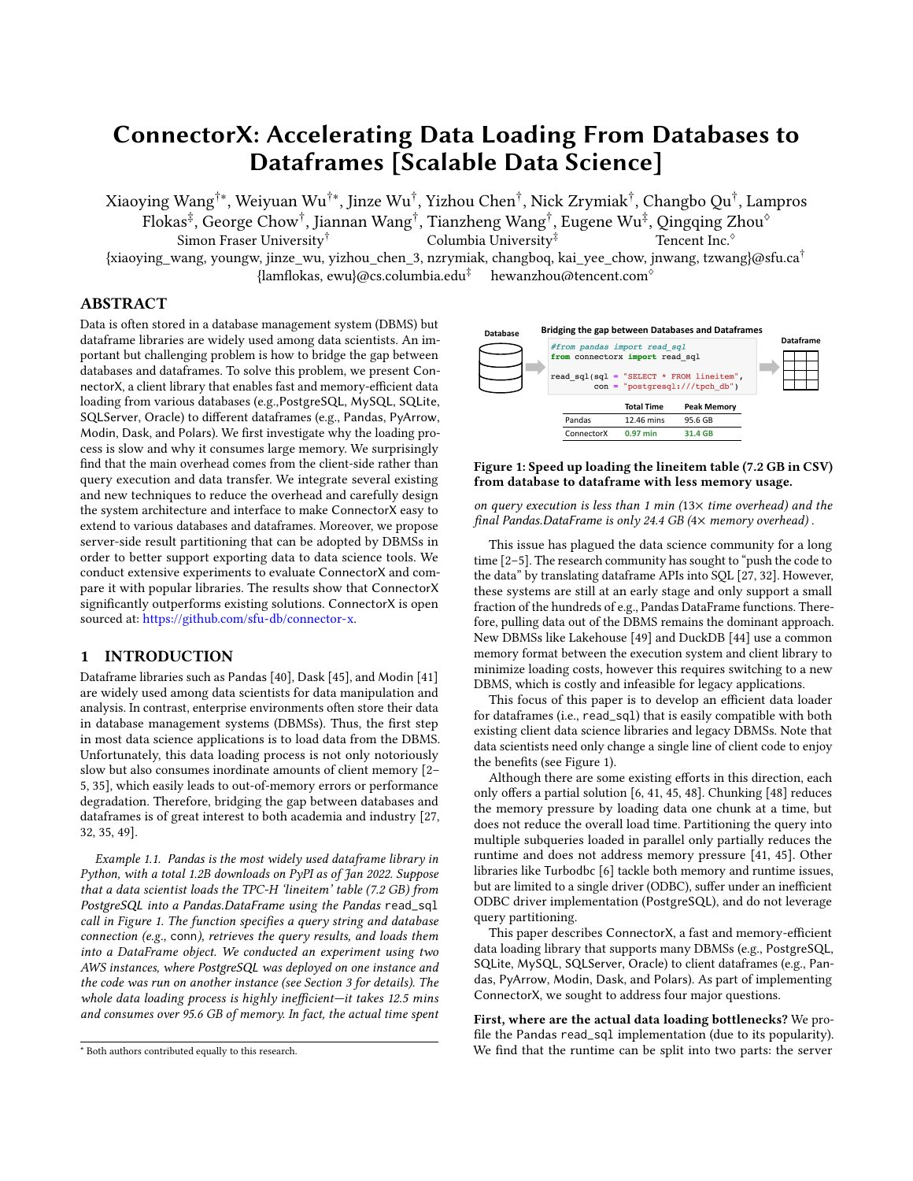<span id="page-4-1"></span>

Figure 6: Example of using type mapping DSL in ConnectorX, with illustration of simplified generated code.

Overall Architecture. ConnectorX consists of three main modules: Source (e.g. PostgreSQL, MySQL), Destination (e.g. Pandas, PyArrow) and a bridge module Type Mapper in the middle to define how to convert the physical representation for the data from Source to Destination. Figure [5](#page-3-5) illustrates the high-level architecture.

Each supported DBMS in ConnectorX has a corresponding Source module, which reads and parses data from the DBMS, including both metadata and query results. To support parallel execution, the Source module is able to generate a group of Source Partition instances, each of which is assigned a subquery. The Destination module generates the final dataframe, including constructing the dataframe object and letting a dedicated Destination Partition to consume and write the data produced from a Source Partition to the correct position in the dataframe. A Type Mapper module consists of a set of rules that specify how to convert data from a specific Source type to a specific Destination type. During runtime, each subquery will be handled by a single thread, which forwards data from a Source Partition to a Destination Partition by looking up the conversion rules in the corresponding Type Mapper.

Interface Design. Adding a new source involves two tasks (adding a new Destination is similar): (1) Connecting to the new Source and supporting the functionalities required by ConnectorX (e.g. querying metadata, fetching query results); (2) Defining the type mapping from the new Source to existing Destinations.

(1) Connection. ConnectorX leverages existing client drivers to implement the functionality, which is the same as other libraries. However, other libraries require client drivers provide a certain API. For example, Pandas needs the input connection object to implement Python DB-API and Turbodbc only works on ODBC drivers. Unlike these approaches, ConnectorX has no requirement on the API of a client driver, which gives it the flexibility to choose the fastest client driver for each DBMS. ConnectorX abstracts the needed functionalities into a set of succinct interfaces. Adding a new Source only requires implementing these interfaces with an existing driver. Due to space limitation, we leave details out to our technical report [\[16\]](#page-8-42).

(2) Type Mapping. Different database systems define their own type systems and physical type representations. Thus, a type mapping for each (database, dataframe) pair is needed. For example INT8, CHAR, and DATE in PostgreSQL can be converted to int64, object, and datetime64 in Pandas, and int64, large\_utf8, and date64 in PyArrow, respectively.

A naive way to support this is to define how to convert each type from each Source to each Destination manually by implementing the corresponding conversion function. However, this approach will lead to two pain points. First, there will be a lot of trivial code for types with the same physical representation. It is because in many cases, Source and Destination choose the same physical representation (e.g. both PostgreSQL.INT8 and Pandas.int64 use 64-bit signed integer type i64 as physical type) or types that the conversion is already automatically supported (e.g. casting from i32

<span id="page-4-2"></span>

Figure 7: Network utilization by varying # partitions.

to i64 for PostgreSQL.INT4 to Pandas.int64). Second, the code will become hard to maintain due to the large amount of conversion functions. Suppose each DBMS has 15 data types on average, and we want to support five DBMSs and two dataframes. Then there will be 150 (15  $\times$  5  $\times$  2) type conversion functions that need to be implemented and maintained.

In order to mitigate the aforementioned issues, ConnectorX defines a succinct domain specific language (DSL) to help the developers define the type mappings, leveraging the modern macro support in Rust [\[18\]](#page-8-43). Figure [6](#page-4-1) shows an example of the DSL, in which the mapping relations are defined in mappings. Each line consists of three parts: the logical type and corresponding physical type of Source, the matched logical type and physical type of Destination, and the conversion implementation choice including auto, none, and option. The physical types are specified in square brackets following the logical counterparts, which makes the mapping relation of both logical-physical and Source-Destination type pair clear. For trivial conversions that are automatically supported, like String to String and i32 to i64, a developer could specify the conversion as auto and ConnectorX will automatically generate the corresponding conversion functions like the example shown in Figure [6.](#page-4-1) option is used for non-trivial conversions, for which the developer is required to implement the corresponding type conversion function. To avoid repeated definitions, none indicates that the physical type pair is already handled. This simple DSL makes the relation of type mapping intuitive and easy to maintain. It has helped shorten code related to type mapping by 97% (from 37k to 1k lines of code).

#### <span id="page-4-0"></span>5 QUERY PARTITIONING

In this section, we first discuss client-side query partitioning and then propose server-side result partitioning.

#### 5.1 Client-Side Query Partitioning

Client-side query partitioning partitions a query into multiple subqueries on the client side and query them independently in parallel. This approach can accelerate read\_sql because it utilizes the high network bandwidth and CPU resource more efficiently. We show the network utilization of ConnectorX by varying the number of partitions in Figure [7.](#page-4-2) It is clear that No Partition (single connection) cannot saturate the network bandwidth at all. With more connections fetching data in parallel, bandwidth could be more sufficiently leveraged and thus leading to better end-to-end performance (read\_sql finishes when bandwidth usage drops to 0).

Client-side query partitioning can directly work with an existing DBMS. This is a big advantage. However, the downsides are: (1) User Burden. To enable query partitioning, the user has to take extra effort to specify a range partitioning scheme over the query result table. (2) Load Imbalance. If the query result table is not evenly partitioned, stragglers may arise, hurting overall performance. (3) Data Inconsistency. Since multiple subqueries are sent to the server from independent sessions, their results may derive from different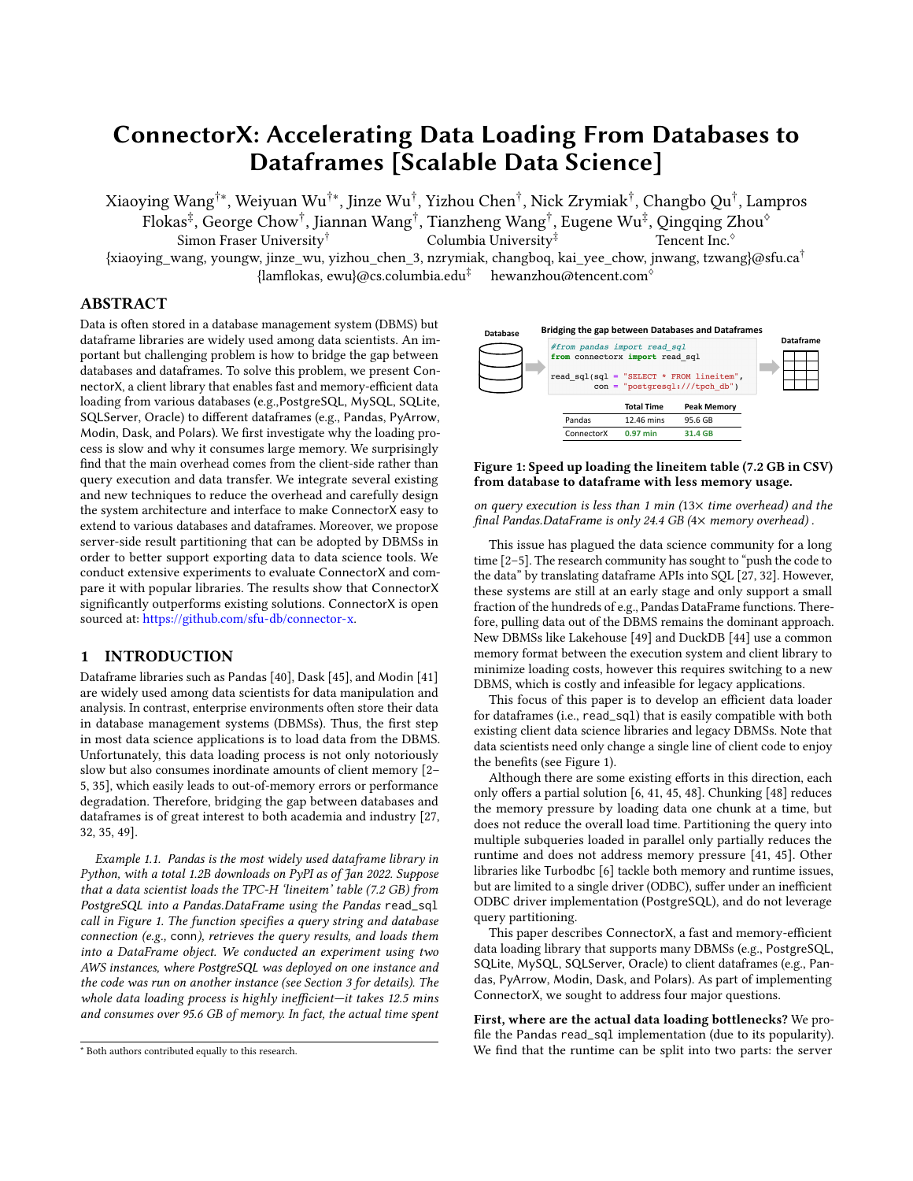Table 2: Comparison of different partitioning approaches. C (S) represents client (server)-side partition. Bold font indicates server-side outperforms client-side partition.

<span id="page-5-1"></span>

|              | # Scan |   | # Disk Block Miss | Total Time (s) |       |      |  |  |
|--------------|--------|---|-------------------|----------------|-------|------|--|--|
| No Partition |        |   |                   | 1.1M           | 156.1 |      |  |  |
| # Partitions | C      | S | C                 |                | C     |      |  |  |
| 2            | 3      | 1 | 3.2M              | 1.1M           | 86.4  | 86.7 |  |  |
| 4            | 5      | 1 | 3.8M              | 1.1M           | 49.1  | 45.7 |  |  |
| 8            | 9      | 1 | 3.8M              | 1.1M           | 30.4  | 23.9 |  |  |
| 16           | 17     |   | 17 1 M            | 1.1M           | 26.7  | 19.6 |  |  |

snapshots of the database. (4) Wasted Resource. Different subqueries may share the same costly sub-plan (e.g., full-table scan). Since the DBMS processes each query independently, the sub-plan may be repeatedly executed for many times, thus wasting database resources.

#### <span id="page-5-3"></span>5.2 Server-Side Result Partitioning

So far we have considered the situation when the underlying DBMS cannot be modified. If the underlying DBMS could be modified, then partitioning the query on the database server side would address the aforementioned issues. Specifically, DBMS partitions the query result into  $n$  equally-sized partitions and allows the client to fetch them through  $n$  connections in parallel. Unlike client-side query partitioning, server-side result partitioning does not need the user to input any extra information. With the help of internal statistics and a cost estimator, the DBMS has a better chance to partition the result more evenly. It can also easily guarantee data consistency and avoid wasted resource since the DBMS has all the necessary information to partition and conduct executions on the same database snapshot. In the following, we discuss the potential design for this proposal.

SQL Syntax & Workflow. A key requirement of supporting serverside result partitioning is the mechanism of indicating the relationship between different independent connections. To achieve this, we can extend the existing concept of database cursor and define the SQL syntax for server-side result partitioning as follow:

DECLARE **name** CURSOR FOR **query** INTO **n**;

FETCH ALL FROM **partition\_id** OF **name**;

In order to support accessing the same query result through different connections, the client first establishes a connection and declares a cursor for the original query with an associated name. By specifying the partition number partition\_num, this cursor now becomes globally visible to the same user in other sessions as long as it is still valid. And its result can be then fetched through concurrent connections with different partition id  $(0, 1, ..., n - 1)$ . The cursor will be released eventually when all query results are consumed.

Prototype Evaluation. Naturally, there are many approaches to support server-side result partitioning. Briefly, our prototype modifies the PostgreSQL engine for SP queries by splitting the query plan into  $n$  subplans that could be executed in different connections in parallel. Unlike client-side query partitioning, where each partitioned query scans the entire table independently. Each subplan scans  $\frac{1}{n}$  of the total disk pages on the same snapshot of the data, which avoids resource waste and inconsistency. Other approaches, such as executing the whole query and distributing the results to different connections are also feasible. The technical report [\[16\]](#page-8-42) describes our prototype and alternative designs in more details.

We compare our server-side partitioning prototype with clientside partitioning and no partitioning to fetch lineitem table from

<span id="page-5-2"></span>

PostgreSQL (the same setup with Section [3\)](#page-1-0). Table [2](#page-5-1) shows the results of using ConnectorX in different scenarios. # Scan and # Disk Block Miss represent the number of times the table has been scanned, and the number of disk blocks read (subtracting the number of cache hit), respectively. We also show the time usage (Total Time) from initiating the query to getting the final dataframe in order to illustrate the impact of each partitioning approach to the end-to-end read\_sql procedure.

Without partitioning, PostgreSQL scans the entire table only once and it takes 156.1 seconds to get the result dataframe. Although client-side partitioning improves the efficiency of read\_sql, it also puts heavier burden on the DBMS. The number of scans required increases along with the number of partitions specified (plus one extra scan to query the range of a given column for query partitioning). The number of blocks that need to be loaded from disk is approximately  $\frac{3.8}{1.1}$  = 3.5× larger when the number of partitions is small. With 16 partitions, it becomes 15.5× larger due to higher contention on the buffer pool. On the contrary, the server-side Plan Partition shows the same statistics with the baseline no matter how many partitions it has. Furthermore, with more partitions, the resource saving on the server side can further reduce end-to-end time ( $\frac{26.1-19.6}{26.1}$  = 25% on 16 partitions). To conclude, Plan Partition allows the client to fully leverage the network and computation resources, without extra overhead on the database server. We hope that DBMS vendors can consider adding the support of server-side result partitioning in the future.

### <span id="page-5-0"></span>6 EVALUATION

We conduct extensive experiments to evaluate ConnectorX.

### 6.1 Experimental Setup

Datasets & Workloads. (1) TPC-H [\[17\]](#page-8-44). We generate the TPC-H benchmark dataset by setting the scale factor to 10. We select the entire lineitem table, which consists of around 60M rows and 16 columns with types of INTEGER, DECIMAL, DATE and VARCHAR. The table is approximately 7.2GB in CSV format. For experiments that involve query partitioning, we use column l\_orderkey as the partitioning column, which is evenly distributed and thus the cardinality of each subquery is similar. We also generate 22 SPJ queries to test more complex queries, with the fetched result size ranging from 100K to 59M. (2) DDoS [\[12\]](#page-8-45). This dataset contains 12.8M traffic flows (6.3GB in CSV). This is an ML dataset with 84 feature columns and a label column. The majority of the columns are numerical (51 DECIMAL and 29 INTEGER), and the rest five are VARCHAR. The tested query is to load the entire table. The ID column is adopted as the partitioning column when needed. Notice that ID is not evenly distributed. When using four partitions, the size of each partition is approximately  $\frac{1}{2}$ ,  $\frac{1}{4}$ ,  $\frac{1}{8}$ , and  $\frac{1}{8}$  of the entire table.

Baselines. We compare ConnectorX with four popular libraries: Pandas [\[40\]](#page-8-0), Dask [\[45\]](#page-8-1), Modin [\[41\]](#page-8-2) and Turbodbc [\[6\]](#page-8-9). Since Turbodbc does not support Pandas destination directly, we convert its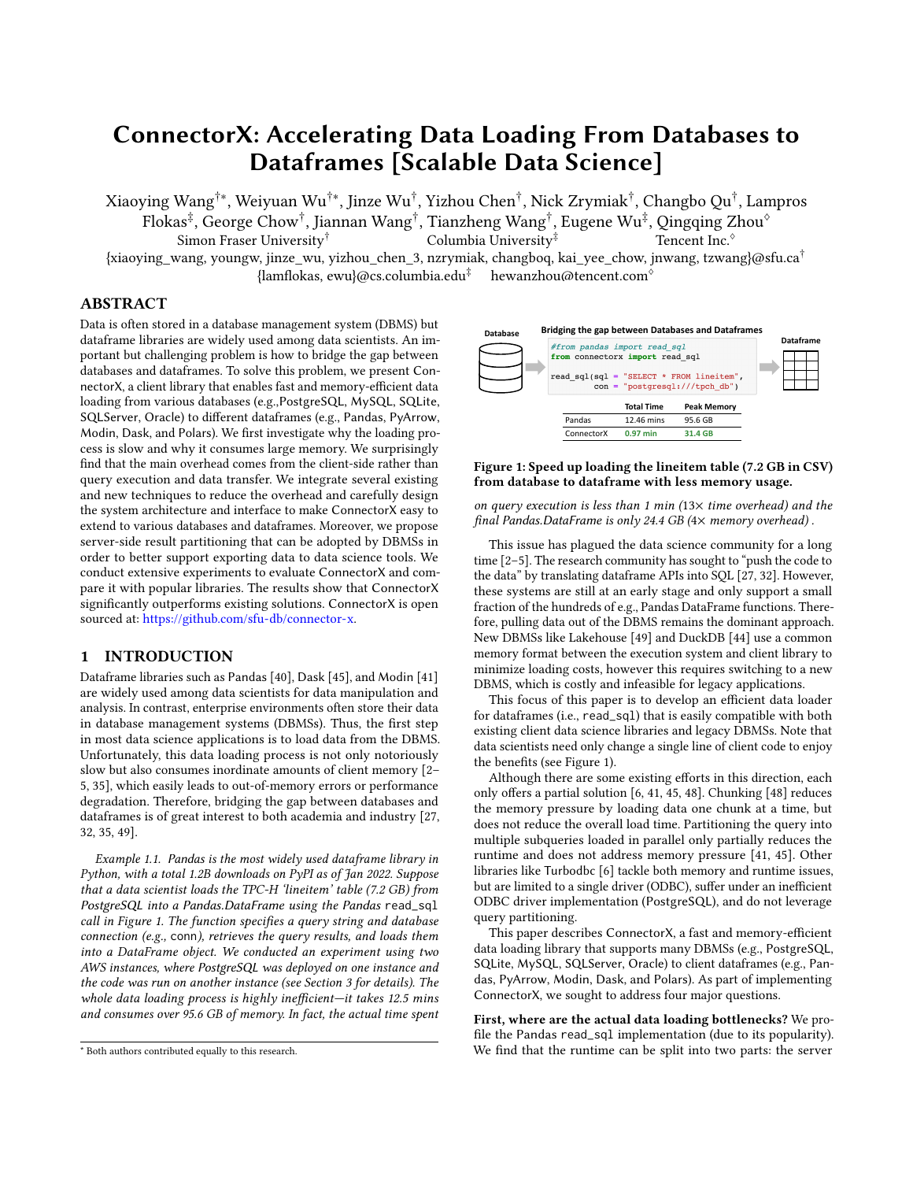<span id="page-6-1"></span>

Figure 9: Memory comparison on four database systems. ("×" is placed if a method does not support the DBMS or cannot handle the large query result.)

NumPy array result to Pandas to ensure a fair comparison. The detailed approach is available in our technical report [\[16\]](#page-8-42).

Hardware & Platform. Our experiments are conducted on two AWS EC2 r5.4xlarge instances (16 vCPUs, 128GB main memory, and 10Gbit/s network bandwidth) by default. We deploy the database on one machine and run read\_sql from another. We also show the performance comparison under other network conditions, including when the server and client reside on the same r5.4xlarge instance (Local) and on two locally hosted machines with four Intel Xeon E7-4870 v4 CPUs (16 cores in total), 128GB memory and 200Mbit/s network. We use three open-source databases (PostgreSQL, MySQL, SQLite) and one commercial database (DBMS-A).

Implementation. We have made the scripts, datasets and workloads publicly available at [https://github.com/sfu-db/connectorx](https://github.com/sfu-db/connectorx-bench)[bench.](https://github.com/sfu-db/connectorx-bench) We run each experiment five times and report the averaged result. ConnectorX needs to issue an extra query to get the min and max values of the partition column during the preparation phase. We conduct experiments under both without partitioning (No Partition) and with four partitions (With Partition) settings. We also evaluate the performance by varying the number of partitions. Due to space limitation, we leave details out to [\[16\]](#page-8-42).

#### <span id="page-6-0"></span>6.2 Ablation Study

We conduct an ablation study to gain a deep understanding of ConnectorX's performance and verify the efficacy of the three optimization techniques: i) Query partitioning; ii) Streaming workflow; iii) String allocation optimization. Since Figure [7](#page-4-2) has already shown the efficacy of query partitioning, here we evaluate the other two. We vary the implementation of ConnectorX and observe the performance change by loading the lineitem table from PostgreSQL to Pandas. The results are shown in Figure [8.](#page-5-2) No-Streaming-Opt represents that the streaming workflow is disabled; No-String-Opt represents that the string allocation optimization is disabled.

In terms of running time, ConnectorX (with all optimizations) is the fastest both with and without partitioning. Without the streaming workflow, the performance drops approximately by 20% in both cases. While the impact of string allocation optimization varies in different numbers of partitions, it slows down the process by only 6% under the no partition setting. However, it becomes 4.6× slower with partitioning. This is because of the overhead in acquiring GIL during string allocation in Python. With more partitions running in parallel, there will be more contention on the GIL, thus slowing down the process.

In terms of peak memory usage, we can see that applying partitioning has little impact on memory consumption. Without the streaming workflow optimization, No-Streaming-Opt needs 2.3× more memory due to the large intermediate results, however, although it needs 70.4GB of memory, it still saves more than 20GB of memory comparing to the 95.6GB peak memory usage of Pandas's batch solution shown in Table [1.](#page-2-3) This validates the effectiveness of using Rust in terms of data representation.

Table 3: Speed compared to ConnectorX (With Partition) on PostgreSQL under different network bandwidth.

<span id="page-6-2"></span>

| Bandwidth         | Local         | $10$ Gbit/s   | 200 Mbit/s   |  |  |  |
|-------------------|---------------|---------------|--------------|--|--|--|
| Pandas            | $14.26\times$ | $12.80\times$ | $3.05\times$ |  |  |  |
| Dask              | 6.09x         | $4.80\times$  | $5.31\times$ |  |  |  |
| Modin             | $3.88\times$  | $3.45\times$  | $1.58\times$ |  |  |  |
| Turbodbc          | $6.64\times$  | $6.21\times$  | $1.90\times$ |  |  |  |
| ConnectorX-NoPart | $3.16\times$  | $3.03\times$  | $1.08\times$ |  |  |  |

### 6.3 Performance Comparison

We compare ConnectorX with four baselines when running read\_sql to fetch the same query result into a Pandas.DataFrame. Due to space limitation, we leave the discussion on more dataframes to our technical report [\[16\]](#page-8-42). We first load the TPC-H lineitem and DDoS tables, and then test how ConnectorX works under different network conditions and with more complex queries.

Memory Comparison. Figure [9](#page-6-1) evaluates the peak memory usage of loading the entire TPC-H lineitem and DDoS tables. For the approaches that support query partitioning (Modin, Dask, and ConnectorX), we show the result of with partitioning, which is usually no less than without partitioning. Pandas-Chunk enables chunking for Pandas (chunk size: 10K according to Figure [3\)](#page-2-5).

On TPC-H, we can see that the memory consumptions of ConnectorX and Pandas-Chunk are almost the same on all DBMS. Their peak memory values are consistently 3× less than Pandas on the three client-server databases and 2× less on SQLite. Dask and Modin show similar results with Pandas. Turbodbc is more memory efficient, but it still needs around 10GB more memory than ConnectorX.

As for DDoS, ConnectorX outperforms other baselines to a much larger extent because of its efficient handling of the DECIMAL type, which is the majority type in DDoS and is  $13\times$  larger in Python objects than in the final dataframe. Another interesting finding is that compared to TPC-H, ConnectorX uses approximately 2× less memory than Pandas-Chunk on DDoS. When concatenating the chunked dataframes at the end of Pandas-Chunk, the memory of NumPy arrays will be doubled since they need to be copied to a larger continuous buffer. But string objects that NumPy arrays point to only need to increase the reference count by one without copying. Since string values only take a small proportion of the memory usage in DDoS dataframe, the concatenation overhead of Pandas-Chunk is much higher than on TPC-H.

Speed Comparison. Next, we compare the speed of each method. We first show the speed comparison under high bandwidth network setting (10Gbit/s, except for SQLite, which can only reside on the same client instance) in Figure [10.](#page-7-1) In order to fairly compare with baselines that do not support query partitioning, we show the result of Modin, Dask and ConnectorX when no partitioning is applied (the left two figures). We also test them when using partitions to observe the potential speedup under multiple cores on the client instance (the right two figures). Here we do not show the result of chunking since which cannot improve the speed.

(1) No Partitioning. In almost all cases, ConnectorX performs the best without query partitioning. It outperforms Pandas by 4.2×, 5.2×, 3.0× and 2.3× on PostgreSQL, MySQL, DBMS-A and SQLite respectively for TPC-H, and 7.1×, 6.0× and 5.2× on PostgreSQL, DBMS-A and SQLite for DDoS (Pandas fails to fetch the entire DDoS table from MySQL). Modin and Dask have the extra overhead in transferring the result from worker processes, and thus is slower than Pandas without parallelism. In addition, they could not finish in many cases when no partition is applied due to the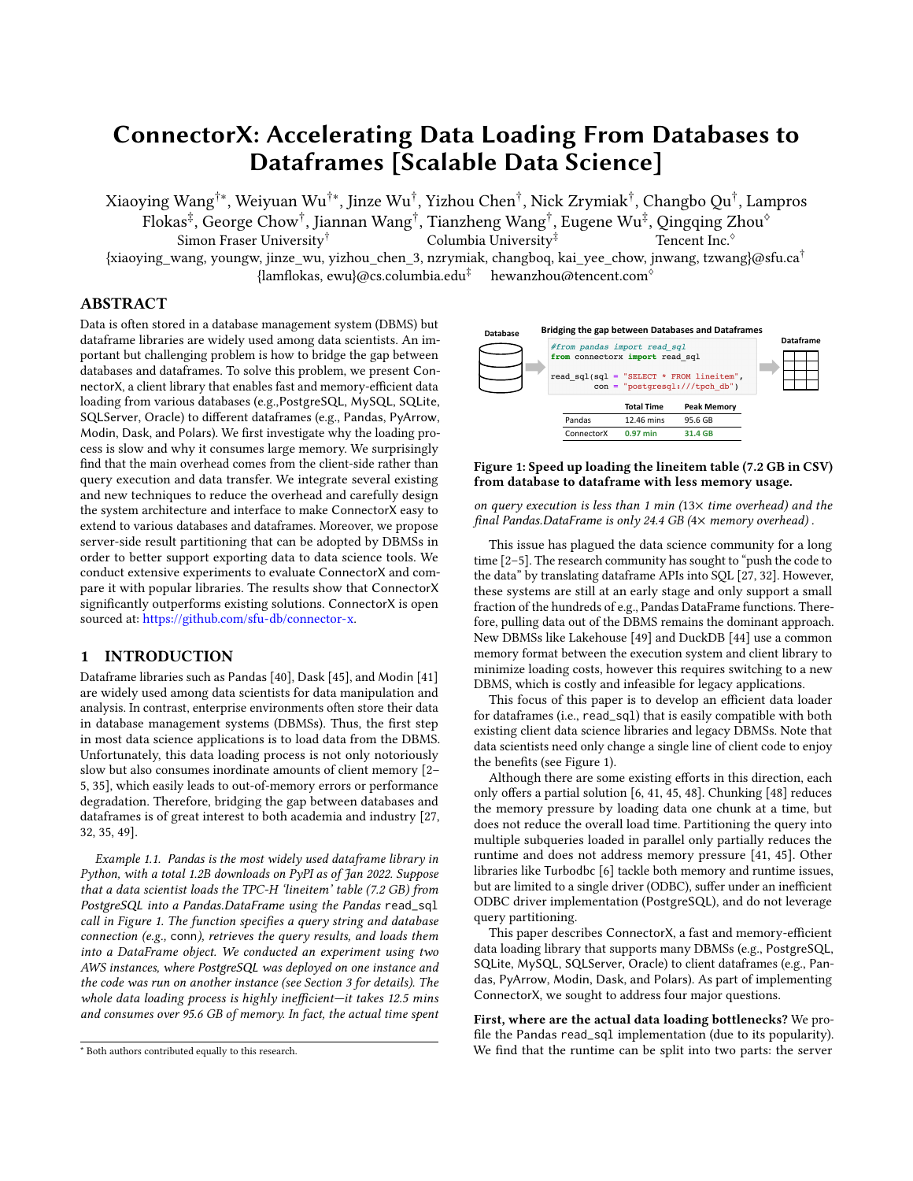<span id="page-7-1"></span>

<span id="page-7-4"></span>Table 4: Speed up of ConnectorX to Pandas on SPJ queries. (Different color means ConnectorX is faster / slower than Pandas.)

|                                |      | O <sub>2</sub>                                                                          | O <sub>3</sub> | O4          | O <sub>5</sub> | Q <sub>6</sub>             | O <sub>7</sub>             | Q8          | Q9                                                           | Q10         | Q11         | Q12     | Q13                                | Q14                                           | Q15                      | Q16              | O <sub>17</sub> | O18                                                                                                                                                               | O <sub>19</sub> | O20 | O <sub>21</sub> | O22 |
|--------------------------------|------|-----------------------------------------------------------------------------------------|----------------|-------------|----------------|----------------------------|----------------------------|-------------|--------------------------------------------------------------|-------------|-------------|---------|------------------------------------|-----------------------------------------------|--------------------------|------------------|-----------------|-------------------------------------------------------------------------------------------------------------------------------------------------------------------|-----------------|-----|-----------------|-----|
| Result Row# (M)                | 59.1 | 4.6                                                                                     | 17.3           | 10.4        | 1.5            | 20.9                       | 4.0                        | 2.4         | 3.3                                                          | 37.2        | 7.7         | $1.2\,$ | 15.3                               | 27.3                                          | 27.3                     | 1.2 <sub>2</sub> | 1.8             | 5.6                                                                                                                                                               | 0.6             | 01  | 09              | 0.1 |
| No Partition<br>With Partition |      | $3.8\times$ $2.2\times$ $2.5\times$ $1.7\times$ $1.2\times$<br>$8.4\times$ 3.0 $\times$ | $3.2\times$    | $1.2\times$ | $0.4\times$    | $3.8\times$<br>$3.4\times$ | $1.6\times$<br>$0.5\times$ | $0.4\times$ | $1.6 \times 2.3 \times 2.5 \times 3.3 \times$<br>$1.0\times$ | $3.3\times$ | $5.8\times$ |         | $0.5 \times 2.2 \times 3.1 \times$ | $1.2 \times 2.5 \times 2.7 \times 2.8 \times$ | $4.3\times$ 1.1 $\times$ |                  |                 | $2.5 \times$ 1.0 $\times$ 1.6 $\times$ 1.2 $\times$ 1.1 $\times$ 1.0 $\times$ 1.0<br>$0.7\times$ 0.7 $\times$ 0.3 $\times$ 0.6 $\times$ 0.5 $\times$ 0.5 $\times$ |                 |     |                 |     |

out-of-memory issue. Turbodbc is the fastest among all baselines. Compared with ConnectorX, it can achieve similar or even better performance on DBMS-A, but is 2.0× (1.8×) and 2.3× (1.3×) slower for PostgreSQL and MySQL on TPC-H (DDoS). This variance comes from how efficient the DBMS's ODBC driver is implemented, which highly determines Turbodbc's performance. Unlike Turbodbc, ConnectorX has no requirement on the driver and thus is more flexible in terms of switching to a faster driver anytime.

(2) With Partitioning. ConnectorX is the fastest one in all our experiments with partitioning. Only Dask and Modin support query partitioning among baselines. To make the comparison more clear, we copy the results of Pandas and Turbodbc without query partitioning to the same figure. With partitioning, ConnectorX further accelerates and becomes up to 12.8× (14.5×) and 6.2× (3.8×) faster compared to Pandas and Turbodbc respectively on TPC-H (DDoS). Modin's speed also gets improved and it becomes the fastest baseline approach on TPC-H. But it is still 2.5× to 6.7× slower than ConnectorX. Dask benefits from partitioning as well but is less stable. Sometimes it needs to restart the workers when reaching to the memory limit, which makes it slower than ConnectorX and Modin, and may even slower than Pandas.

(3) Different Network Conditions. We test all methods on PostgreSQL under different network conditions. To see the gap clearly, we use ConnectorX with partitioning as baseline and show its speedup w.r.t. each baseline. The speedups are shown in Table [3.](#page-6-2) ConnectorX-NoPart represents the result of ConnectorX when no partition is applied, and both Modin and Dask leverage partitioning. It is clear that ConnectorX remains the fastest in all environments since all values > 1. Also, the gap between ConnectorX and other baselines becomes larger when the bandwidth is higher, which shows the efficiency of ConnectorX in leveraging the bandwidth resource. In addition,ConnectorX and ConnectorX-NoPart perform similarly when the bandwidth is 200Mbit/s since a single thread could be enough when the bandwidth is low.

(4) SPJ Queries. We evaluate ConnectorX using more complex queries. We consider the queries with joins and predicates because adding joins will increase the server's query execution time and adding predicates will affect the data transfer time between the server and the client. By considering a wide variety of queries, we can have a better understanding of how well ConnectorX will perform in different scenarios. Specifically, we generate 22 queries<sup>[4](#page-7-2)</sup> (one from each TPC-H query template). For each query, we keep SELECT, PROJECT and JOIN operators. We also alter the predicates manually to make sure the result size is in a large range (100K to 59M) and flatten some of the nested queries to have more variety in terms of query complexity. We choose the first numerical column as the partition column for query partitioning on ConnectorX.

For complex queries, getting metadata like the number of result rows becomes slower. In order to avoid the potentially costly COUNT query, in this situation we choose and also suggest our users to use Arrow as an intermediate destination from ConnectorX and convert it into Pandas using Arrow's to\_pandas<sup>[5](#page-7-3)</sup> API.

We run all 22 queries on PostgreSQL and compare the performance of ConnectorX with Pandas. The result in Table [4](#page-7-4) shows the speedup of ConnectorX to Pandas. It is clear that without partitioning, ConnectorX is faster than Pandas by up to 3.8× or at least shows similar performance. Partitioning could sometimes further speed up the process by up to 8.4×. Surprisingly, it could also further complicate the query, which may result in generating slower query plans and also may have the overhead in partition column range querying. In our experiment, some queries show performance degradation with partitioning by up to 3.3× (Q19) especially when the result set is small. This finding further motivates the support of server-side result partitioning discussed in Section [5.2.](#page-5-3)

Note that ConnectorX targets on scenarios that require fetching large query result sets. It speeds up the process by optimizing clientside execution and saturating both network and computational resources through parallelism. When network or query execution on the DBMS is the bottleneck (e.g. complex queries with small result sets), however, ConnectorX brings less benefit and sometimes it can be even slower due to the overhead in fetching metadata.

## <span id="page-7-0"></span>7 CONCLUSION

In this paper, we proposed ConnectorX, an open-source library for loading query results from DBMSs to dataframes in a fast and memory-saving way. We conducted a thorough analysis on the popular Pandas.read\_sql function, and identified optimization opportunities on client-side execution. We developed ConnectorX targeting at optimizing client-side execution of read\_sql without modifying the existing implementation of database servers as well as client drivers. ConnectorX also provides modular interfaces for contributors to add support for more DBMSs and dataframes easily. We also identified the drawbacks of current client-side query partitioning approaches that ConnectorX and other libraries are using, and proposed that database systems should support serverside result partitioning in order to tackle the issues. We performed experiments showing that (1) optimizations applied in ConnectorX are indeed effective at boosting the performance, (2) ConnectorX significantly outperforms Pandas, Dask, Modin and Turbodbc in terms of both speed and memory usage under different scenarios.

<span id="page-7-2"></span><sup>4</sup>https://github.com/sfu-db/connectorx-bench/tree/main/tpch-spj-workload/spj

<span id="page-7-3"></span><sup>5</sup> [https://arrow.apache.org/docs/python/generated/pyarrow.Table.html?pyarrow.Table.to\\_pandas](https://arrow.apache.org/docs/python/generated/pyarrow.Table.html?pyarrow.Table.to_pandas)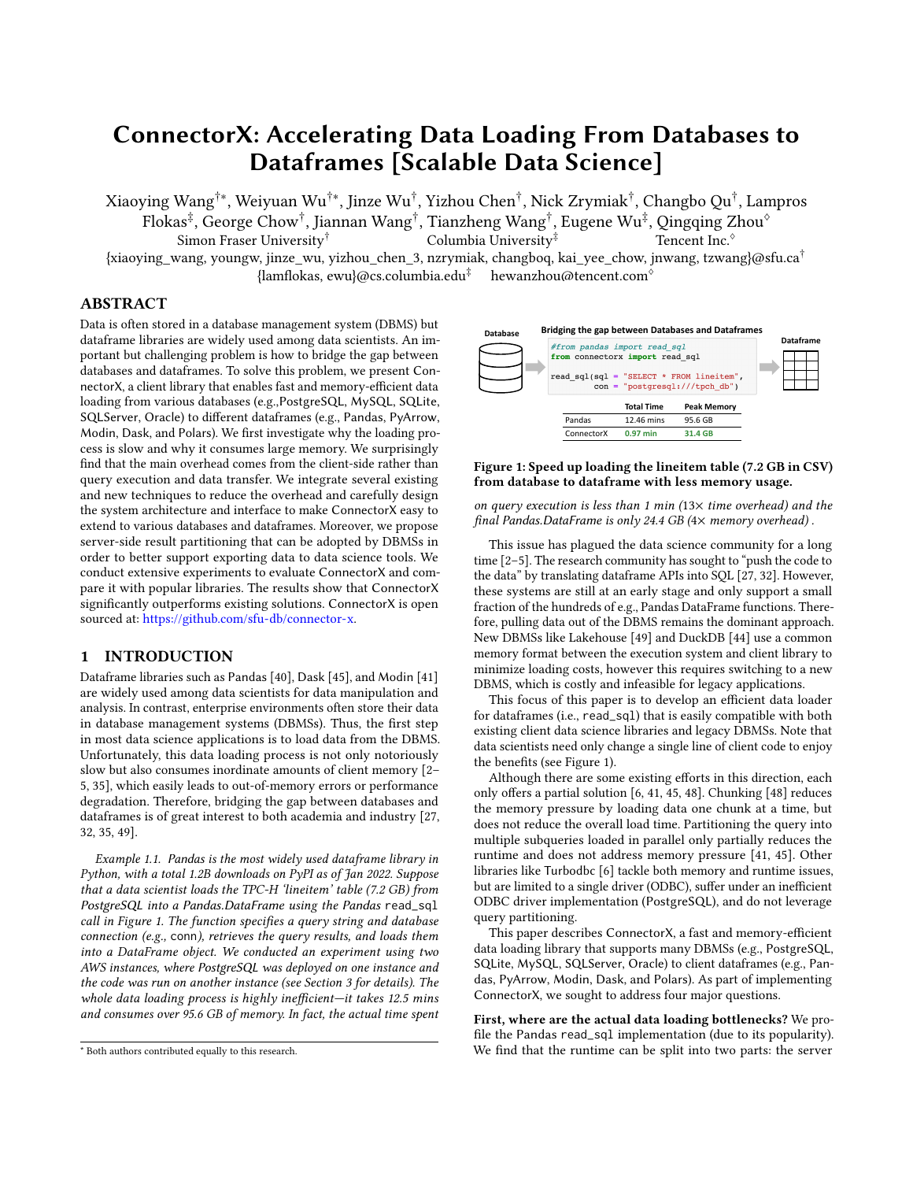#### **REFERENCES**

- <span id="page-8-33"></span>[1] 2014-2021. Ibis: Write your analytics code once, run it everywhere. [http://ibis](http://ibis-project.org)[project.org.](http://ibis-project.org) Accessed: 2022-01-27.
- <span id="page-8-3"></span>[2] 2016. pandas read\_sql is unusually slow. [https://stackoverflow.com/questions/](https://stackoverflow.com/questions/40045093/pandas-read-sql-is-unusually-slow) [40045093/pandas-read-sql-is-unusually-slow.](https://stackoverflow.com/questions/40045093/pandas-read-sql-is-unusually-slow) Accessed: 2022-01-27.
- Pandas using too much memory with read\_sql\_table. [https:](https://stackoverflow.com/questions/41253326/pandas-using-too-much-memory-with-read-sql-table) [//stackoverflow.com/questions/41253326/pandas-using-too-much-memory](https://stackoverflow.com/questions/41253326/pandas-using-too-much-memory-with-read-sql-table)[with-read-sql-table.](https://stackoverflow.com/questions/41253326/pandas-using-too-much-memory-with-read-sql-table) Accessed: 2022-01-27.
- [4] 2017. Program ( Time ) Bottleneck is Database Interaction. [https://stackoverflow.](https://stackoverflow.com/questions/44154430/program-time-bottleneck-is-database-interaction) [com/questions/44154430/program-time-bottleneck-is-database-interaction.](https://stackoverflow.com/questions/44154430/program-time-bottleneck-is-database-interaction) Accessed: 2022-01-27.
- <span id="page-8-4"></span>[5] 2017. Use Turbodbc/Arrow for read\_sql\_table. [https://github.com/pandas-dev/](https://github.com/pandas-dev/pandas/issues/17790) [pandas/issues/17790.](https://github.com/pandas-dev/pandas/issues/17790) Accessed: 2022-01-27.
- <span id="page-8-9"></span>[6] 2017-2021. Turbodbc - Turbocharged database access for data scientists. [https:](https://turbodbc.readthedocs.io/en/latest/) [//turbodbc.readthedocs.io/en/latest/.](https://turbodbc.readthedocs.io/en/latest/) Accessed: 2022-01-27.
- <span id="page-8-11"></span>[7] 2021. ConnectorX for ETL workload. [https://github.com/sfu-db/connector](https://github.com/sfu-db/connector-x/discussions/133)[x/discussions/133.](https://github.com/sfu-db/connector-x/discussions/133) Accessed: 2022-01-27.
- <span id="page-8-12"></span>[8] 2021. ConnectorX for ML feature fetching. [https://github.com/sfu-db/connector](https://github.com/sfu-db/connector-x/issues/140##issuecomment-948918848)[x/issues/140#issuecomment-948918848.](https://github.com/sfu-db/connector-x/issues/140##issuecomment-948918848) Accessed: 2022-01-27.
- <span id="page-8-15"></span>[9] 2021. ConnectorX integrates with dataframe system. [https://pola-rs.github.io/](https://pola-rs.github.io/polars-book/user-guide/howcani/io/read_db.html) [polars-book/user-guide/howcani/io/read\\_db.html.](https://pola-rs.github.io/polars-book/user-guide/howcani/io/read_db.html) Accessed: 2022-01-27.
- <span id="page-8-19"></span>[10] 2021. Data Vesion Control (DVC). [https://dvc.org/.](https://dvc.org/) Accessed: 2022-01-27.
- <span id="page-8-14"></span>[11] 2021. DataPrep: The easiest way to prepare data in Python. [https://dataprep.ai/.](https://dataprep.ai/) Accessed: 2021-01-27.
- <span id="page-8-45"></span>[12] 2021. DDoS Dataset. [https://www.kaggle.com/devendra416/ddos-datasets.](https://www.kaggle.com/devendra416/ddos-datasets) Accessed: 2022-01-27.
- <span id="page-8-16"></span>[13] 2021. Google BigQuery. [https://cloud.google.com/bigquery.](https://cloud.google.com/bigquery) Accessed: 2022-01- 27.
- <span id="page-8-13"></span>[14] 2021. Polars: Fast multi-threaded DataFrame library in Rust and Python. [https:](https://github.com/pola-rs/polars) [//github.com/pola-rs/polars.](https://github.com/pola-rs/polars) Accessed: 2022-01-27.
- <span id="page-8-42"></span><span id="page-8-20"></span>[15] 2021. Serve your features in production. [https://feast.dev/.](https://feast.dev/) Accessed: 2022-01-27. [16] 2021. [Technical Report] ConnectorX: Accelerating Data Loading From Database to Dataframe. [http://raw.githubusercontent.com/sfu-db/connector-x/main/](http://raw.githubusercontent.com/sfu-db/connector-x/main/assets/Technical_Report__ConnectorX.pdf) [assets/Technical\\_Report\\_\\_ConnectorX.pdf.](http://raw.githubusercontent.com/sfu-db/connector-x/main/assets/Technical_Report__ConnectorX.pdf)
- <span id="page-8-44"></span>[17] 2021. TPC-H Homepage. [http://www.tpc.org/tpch.](http://www.tpc.org/tpch) Accessed: 2022-01-27.
- <span id="page-8-43"></span>[18] 2022. The Rust Programming Language - Macro. [https://doc.rust-lang.org/book/](https://doc.rust-lang.org/book/ch19-06-macros.html) [ch19-06-macros.html.](https://doc.rust-lang.org/book/ch19-06-macros.html) Accessed: 2022-01-27.
- <span id="page-8-34"></span>[19] Michael Armbrust, Reynold S. Xin, Cheng Lian, Yin Huai, Davies Liu, Joseph K. Bradley, Xiangrui Meng, Tomer Kaftan, Michael J. Franklin, Ali Ghodsi, and Matei Zaharia. 2015. Spark SQL: Relational Data Processing in Spark. In Proceedings of the 2015 ACM SIGMOD International Conference on Management of Data, Melbourne, Victoria, Australia, May 31 - June 4, 2015, Timos K. Sellis, Susan B. Davidson, and Zachary G. Ives (Eds.). ACM, 1383–1394. [https:](https://doi.org/10.1145/2723372.2742797) [//doi.org/10.1145/2723372.2742797](https://doi.org/10.1145/2723372.2742797)
- <span id="page-8-40"></span>[20] SQLAlchemy authors and contributors. 2007-2022. Using Server Side Cursors (a.k.a. stream results). [https://docs.sqlalchemy.org/en/14/core/connections.html#](https://docs.sqlalchemy.org/en/14/core/connections.html##using-server-side-cursors-a-k-a-stream-results) [using-server-side-cursors-a-k-a-stream-results.](https://docs.sqlalchemy.org/en/14/core/connections.html##using-server-side-cursors-a-k-a-stream-results) Accessed: 2022-01-27.
- <span id="page-8-28"></span>[21] Lingjiao Chen, Arun Kumar, Jeffrey F. Naughton, and Jignesh M. Patel. 2017. Towards Linear Algebra over Normalized Data. Proc. VLDB Endow. 10, 11 (2017), 1214–1225.<https://doi.org/10.14778/3137628.3137633>
- <span id="page-8-17"></span>[22] Benoît Dageville, Thierry Cruanes, Marcin Zukowski, Vadim Antonov, Artin Avanes, Jon Bock, Jonathan Claybaugh, Daniel Engovatov, Martin Hentschel, Jiansheng Huang, Allison W. Lee, Ashish Motivala, Abdul Q. Munir, Steven Pelley, Peter Povinec, Greg Rahn, Spyridon Triantafyllis, and Philipp Unterbrunner. 2016. The Snowflake Elastic Data Warehouse. In Proceedings of the 2016 International Conference on Management of Data, SIGMOD Conference 2016, San Francisco, CA, USA, June 26 - July 01, 2016, Fatma Özcan, Georgia Koutrika, and Sam Madden (Eds.). ACM, 215–226.<https://doi.org/10.1145/2882903.2903741>
- <span id="page-8-36"></span>[23] Joseph Vinish D'silva, Florestan De Moor, and Bettina Kemme. 2018. AIDA - Abstraction for Advanced In-Database Analytics. Proc. VLDB Endow. 11, 11 (2018), 1400–1413.<https://doi.org/10.14778/3236187.3236194>
- <span id="page-8-26"></span>[24] The Apache Software Foundation. 2016-2021. Apache Arrow. [https://arrow.](https://arrow.apache.org/) [apache.org/.](https://arrow.apache.org/) Accessed: 2022-01-27.
- <span id="page-8-25"></span>[25] The Apache Software Foundation. 2016-2021. Apache Arrow Flight. [https:](https://arrow.apache.org/docs/format/Flight.html) [//arrow.apache.org/docs/format/Flight.html.](https://arrow.apache.org/docs/format/Flight.html) Accessed: 2022-01-27.
- <span id="page-8-38"></span>[26] The Python Software Foundation. 2001. PEP 249 – Python Database API Specification v2.0. [https://www.python.org/dev/peps/pep-0249/.](https://www.python.org/dev/peps/pep-0249/) Accessed: 2022-01-27.
- <span id="page-8-6"></span>[27] Stefan Hagedorn, Steffen Kläbe, and Kai-Uwe Sattler. 2021. Putting Pandas in a Box. In 11th Conference on Innovative Data Systems Research, CIDR 2021, Virtual Event, January 11-15, 2021, Online Proceedings. www.cidrdb.org. [http:](http://cidrdb.org/cidr2021/papers/cidr2021_paper07.pdf)
- <span id="page-8-21"></span>[//cidrdb.org/cidr2021/papers/cidr2021\\_paper07.pdf](http://cidrdb.org/cidr2021/papers/cidr2021_paper07.pdf) [28] K. Hammar and J. Dowling. 2021. Feature Store: The missing data layer for Machine Learning pipelines? [https://www.hopsworks.ai/post/feature-store-the](https://www.hopsworks.ai/post/feature-store-the-missing-data-layer-in-ml-pipelines)[missing-data-layer-in-ml-pipelines.](https://www.hopsworks.ai/post/feature-store-the-missing-data-layer-in-ml-pipelines) Accessed: 2022-01-27.
- <span id="page-8-39"></span>[29] Charles R. Harris, K. Jarrod Millman, Stéfan J. van der Walt, Ralf Gommers, Pauli Virtanen, David Cournapeau, Eric Wieser, Julian Taylor, Sebastian Berg, Nathaniel J. Smith, Robert Kern, Matti Picus, Stephan Hoyer, Marten H. van Kerkwijk, Matthew Brett, Allan Haldane, Jaime Fernández del Río, Mark Wiebe, Pearu Peterson, Pierre Gérard-Marchant, Kevin Sheppard, Tyler Reddy, Warren Weckesser, Hameer Abbasi, Christoph Gohlke, and Travis E. Oliphant. 2020. Array programming with NumPy. Nature 585, 7825 (Sept. 2020), 357-362. [https:](https://doi.org/10.1038/s41586-020-2649-2)

[//doi.org/10.1038/s41586-020-2649-2](https://doi.org/10.1038/s41586-020-2649-2)

- <span id="page-8-22"></span>[30] Jeremy Hermann and Mike Del Balso. 2017. Meet Michelangelo: Uber's Machine Learning Platform. [https://eng.uber.com/michelangelo-machine-learning](https://eng.uber.com/michelangelo-machine-learning-platform/)[platform/.](https://eng.uber.com/michelangelo-machine-learning-platform/) Accessed: 2022-01-27.
- <span id="page-8-29"></span>[31] Matthias Jasny, Tobias Ziegler, Tim Kraska, Uwe Röhm, and Carsten Binnig. 2020. DB4ML - An In-Memory Database Kernel with Machine Learning Support. In Proceedings of the 2020 International Conference on Management of Data, SIGMOD Conference 2020, online conference [Portland, OR, USA], June 14-19, 2020, David Maier, Rachel Pottinger, AnHai Doan, Wang-Chiew Tan, Abdussalam Alawini, and Hung Q. Ngo (Eds.). ACM, 159–173.<https://doi.org/10.1145/3318464.3380575>
- <span id="page-8-7"></span>[32] Alekh Jindal, K Venkatesh Emani, Maureen Daum, Olga Poppe, Brandon Haynes, Anna Pavlenko, Ayushi Gupta, Karthik Ramachandra, Carlo Curino, Andreas Mueller, et al. 2021. Magpie: Python at speed and scale using cloud backends. In CIDR.
- <span id="page-8-37"></span>[33] Konstantinos Karanasos, Matteo Interlandi, Fotis Psallidas, Rathijit Sen, Kwanghyun Park, Ivan Popivanov, Doris Xin, Supun Nakandala, Subru Krishnan, Markus Weimer, Yuan Yu, Raghu Ramakrishnan, and Carlo Curino. 2020. Extending Relational Query Processing with ML Inference. In 10th Conference on Innovative Data Systems Research, CIDR 2020, Amsterdam, The Netherlands, January 12-15, 2020, Online Proceedings. www.cidrdb.org. [http://cidrdb.org/cidr2020/papers/p24](http://cidrdb.org/cidr2020/papers/p24-karanasos-cidr20.pdf) [karanasos-cidr20.pdf](http://cidrdb.org/cidr2020/papers/p24-karanasos-cidr20.pdf)
- <span id="page-8-30"></span>[34] Mahmoud Abo Khamis, Hung Q. Ngo, XuanLong Nguyen, Dan Olteanu, and Maximilian Schleich. 2018. In-Database Learning with Sparse Tensors. In Proceedings of the 37th ACM SIGMOD-SIGACT-SIGAI Symposium on Principles of Database Systems, Houston, TX, USA, June 10-15, 2018, Jan Van den Bussche and Marcelo Arenas (Eds.). ACM, 325–340.<https://doi.org/10.1145/3196959.3196960>
- <span id="page-8-5"></span>[35] Tianyu Li, Matthew Butrovich, Amadou Ngom, Wan Shen Lim, Wes McKinney, and Andrew Pavlo. 2020. Mainlining Databases: Supporting Fast Transactional Workloads on Universal Columnar Data File Formats. Proc. VLDB Endow. 14, 4 (2020), 534–546.<https://doi.org/10.14778/3436905.3436913>
- <span id="page-8-31"></span>[36] Xupeng Li, Bin Cui, Yiru Chen, Wentao Wu, and Ce Zhang. 2017. MLog: Towards Declarative In-Database Machine Learning. Proc. VLDB Endow. 10, 12 (2017), 1933–1936.<https://doi.org/10.14778/3137765.3137812> [37] Xiangrui Meng, Joseph K. Bradley, Burak Yavuz, Evan R. Sparks, Shivaram
- <span id="page-8-35"></span>Venkataraman, Davies Liu, Jeremy Freeman, D. B. Tsai, Manish Amde, Sean Owen, Doris Xin, Reynold Xin, Michael J. Franklin, Reza Zadeh, Matei Zaharia, and Ameet Talwalkar. 2016. MLlib: Machine Learning in Apache Spark. J. Mach. Learn. Res. 17 (2016), 34:1–34:7.<http://jmlr.org/papers/v17/15-237.html>
- <span id="page-8-23"></span>[38] Laurel J. Orr, Atindriyo Sanyal, Xiao Ling, Karan Goel, and Megan Leszczynski. 2021. Managing ML Pipelines: Feature Stores and the Coming Wave of Embedding Ecosystems. Proc. VLDB Endow. 14, 12 (2021), 3178–3181. [http://www.vldb.org/](http://www.vldb.org/pvldb/vol14/p3178-orr.pdf) [pvldb/vol14/p3178-orr.pdf](http://www.vldb.org/pvldb/vol14/p3178-orr.pdf)
- <span id="page-8-41"></span>[39] The pandas development team. 2008-2021. pandas.read\_sql. [https://pandas.](https://pandas.pydata.org/docs/reference/api/pandas.read_sql.html) [pydata.org/docs/reference/api/pandas.read\\_sql.html.](https://pandas.pydata.org/docs/reference/api/pandas.read_sql.html) Accessed: 2022-01-27.
- <span id="page-8-0"></span>[40] The pandas development team. 2020. pandas-dev/pandas: Pandas. [https://doi.](https://doi.org/10.5281/zenodo.3509134) [org/10.5281/zenodo.3509134](https://doi.org/10.5281/zenodo.3509134)
- <span id="page-8-2"></span>[41] Devin Petersohn, William W. Ma, Doris Jung Lin Lee, Stephen Macke, Doris Xin, Xiangxi Mo, Joseph Gonzalez, Joseph M. Hellerstein, Anthony D. Joseph, and Aditya G. Parameswaran. 2020. Towards Scalable Dataframe Systems. Proc. VLDB Endow. 13, 11 (2020), 2033–2046. [http://www.vldb.org/pvldb/vol13/p2033](http://www.vldb.org/pvldb/vol13/p2033-petersohn.pdf) [petersohn.pdf](http://www.vldb.org/pvldb/vol13/p2033-petersohn.pdf)
- <span id="page-8-27"></span>[42] R Core Team. 2021. R: A Language and Environment for Statistical Computing. R Foundation for Statistical Computing, Vienna, Austria. [https://www.R-project.](https://www.R-project.org/)
- <span id="page-8-24"></span>[org/](https://www.R-project.org/) [43] Mark Raasveldt and Hannes Mühleisen. 2017. Don't Hold My Data Hostage - A Case For Client Protocol Redesign. Proc. VLDB Endow. 10, 10 (2017), 1022–1033. <https://doi.org/10.14778/3115404.3115408>
- <span id="page-8-8"></span>[44] Mark Raasveldt and Hannes Mühleisen. 2020. Data Management for Data Science Towards Embedded Analytics. In 10th Conference on Innovative Data Systems Research, CIDR 2020, Amsterdam, The Netherlands, January 12-15, 2020, Online Proceedings. www.cidrdb.org. [http://cidrdb.org/cidr2020/papers/p23-raasveldt](http://cidrdb.org/cidr2020/papers/p23-raasveldt-cidr20.pdf)[cidr20.pdf](http://cidrdb.org/cidr2020/papers/p23-raasveldt-cidr20.pdf)
- <span id="page-8-1"></span>[45] Matthew Rocklin. 2015. Dask: Parallel computation with blocked algorithms and task scheduling. In Proceedings of the 14th python in science conference. Citeseer.
- <span id="page-8-32"></span>[46] Maximilian E. Schüle, Matthias Bungeroth, Alfons Kemper, Stephan Günnemann, and Thomas Neumann. 2019. MLearn: A Declarative Machine Learning Language for Database Systems. In Proceedings of the 3rd International Workshop on Data Management for End-to-End Machine Learning, DEEM@SIGMOD 2019, Amsterdam, The Netherlands, June 30, 2019, Sebastian Schelter, Neoklis Polyzotis, Stephan Seufert, and Manasi Vartak (Eds.). ACM, 7:1–7:4. [https://doi.org/10.1145/3329486.](https://doi.org/10.1145/3329486.3329494) [3329494](https://doi.org/10.1145/3329486.3329494)
- <span id="page-8-18"></span>[47] Ashish Thusoo, Joydeep Sen Sarma, Namit Jain, Zheng Shao, Prasad Chakka, Ning Zhang, Suresh Anthony, Hao Liu, and Raghotham Murthy. 2010. Hive - a petabyte scale data warehouse using Hadoop. In Proceedings of the 26th International Conference on Data Engineering, ICDE 2010, March 1-6, 2010, Long Beach, California, USA, Feifei Li, Mirella M. Moro, Shahram Ghandeharizadeh, Jayant R. Haritsa, Gerhard Weikum, Michael J. Carey, Fabio Casati, Edward Y. Chang, Ioana Manolescu, Sharad Mehrotra, Umeshwar Dayal, and Vassilis J. Tsotras (Eds.). IEEE Computer Society, 996–1005.<https://doi.org/10.1109/ICDE.2010.5447738>
- <span id="page-8-10"></span>[48] Itamar Turner-Trauring. 2021. Loading SQL data into Pandas without running out of memory. [https://pythonspeed.com/articles/pandas-sql-chunking/.](https://pythonspeed.com/articles/pandas-sql-chunking/) Accessed: 2022-01-27.